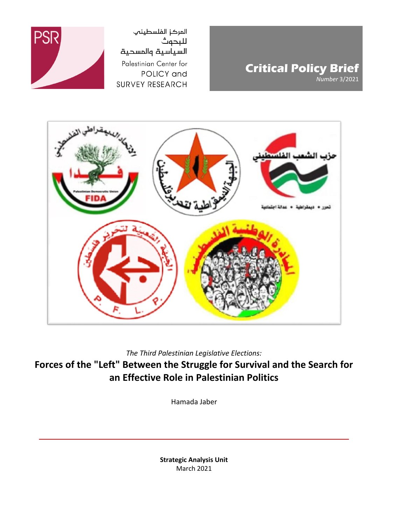

**Critical Policy Brief** *Number* 3/2021



*The Third Palestinian Legislative Elections:*

**Forces of the "Left" Between the Struggle for Survival and the Search for an Effective Role in Palestinian Politics**

Hamada Jaber

**Strategic Analysis Unit** March 2021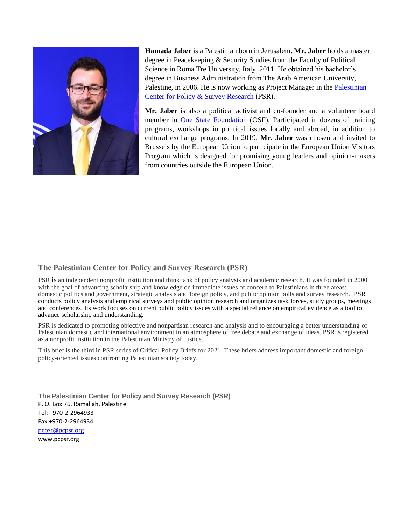

**Hamada Jaber** is a Palestinian born in Jerusalem. **Mr. Jaber** holds a master degree in Peacekeeping & Security Studies from the Faculty of Political Science in Roma Tre University, Italy, 2011. He obtained his bachelor's degree in Business Administration from The Arab American University, Palestine, in 2006. He is now working as Project Manager in the [Palestinian](http://www.pcpsr.org/)  [Center for Policy & Survey Research](http://www.pcpsr.org/) (PSR).

**Mr. Jaber** is also a political activist and co-founder and a volunteer board member in [One State Foundation](http://www.onestatefoundation.org/) (OSF). Participated in dozens of training programs, workshops in political issues locally and abroad, in addition to cultural exchange programs. In 2019, **Mr. Jaber** was chosen and invited to Brussels by the European Union to participate in the European Union Visitors Program which is designed for promising young leaders and opinion-makers from countries outside the European Union.

## **The Palestinian Center for Policy and Survey Research (PSR)**

PSR is an independent nonprofit institution and think tank of policy analysis and academic research. It was founded in 2000 with the goal of advancing scholarship and knowledge on immediate issues of concern to Palestinians in three areas: domestic politics and government, strategic analysis and foreign policy, and public opinion polls and survey research. PSR conducts policy analysis and empirical surveys and public opinion research and organizes task forces, study groups, meetings and conferences. Its work focuses on current public policy issues with a special reliance on empirical evidence as a tool to advance scholarship and understanding.

PSR is dedicated to promoting objective and nonpartisan research and analysis and to encouraging a better understanding of Palestinian domestic and international environment in an atmosphere of free debate and exchange of ideas. PSR is registered as a nonprofit institution in the Palestinian Ministry of Justice.

This brief is the third in PSR series of Critical Policy Briefs for 2021. These briefs address important domestic and foreign policy-oriented issues confronting Palestinian society today.

**The Palestinian Center for Policy and Survey Research (PSR)** P. O. Box 76, Ramallah, Palestine Tel: +970-2-2964933 Fax:+970-2-2964934 [pcpsr@pcpsr.org](mailto:pcpsr@pcpsr.org) www.pcpsr.org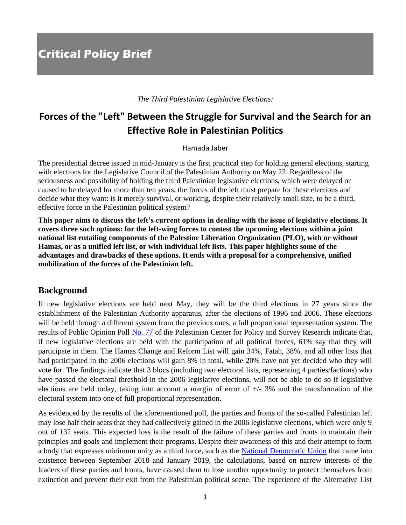*The Third Palestinian Legislative Elections:*

# **Forces of the "Left" Between the Struggle for Survival and the Search for an Effective Role in Palestinian Politics**

Hamada Jaber

The presidential decree issued in mid-January is the first practical step for holding general elections, starting with elections for the Legislative Council of the Palestinian Authority on May 22. Regardless of the seriousness and possibility of holding the third Palestinian legislative elections, which were delayed or caused to be delayed for more than ten years, the forces of the left must prepare for these elections and decide what they want: is it merely survival, or working, despite their relatively small size, to be a third, effective force in the Palestinian political system?

**This paper aims to discuss the left's current options in dealing with the issue of legislative elections. It covers three such options: for the left-wing forces to contest the upcoming elections within a joint national list entailing components of the Palestine Liberation Organization (PLO), with or without Hamas, or as a unified left list, or with individual left lists. This paper highlights some of the advantages and drawbacks of these options. It ends with a proposal for a comprehensive, unified mobilization of the forces of the Palestinian left.**

# **Background**

If new legislative elections are held next May, they will be the third elections in 27 years since the establishment of the Palestinian Authority apparatus, after the elections of 1996 and 2006. These elections will be held through a different system from the previous ones, a full proportional representation system. The results of Public Opinion Poll [No. 77](http://www.pcpsr.org/sites/default/files/Poll%2077%20English%20full%20text%20September2020.pdf) of the Palestinian Center for Policy and Survey Research indicate that, if new legislative elections are held with the participation of all political forces, 61% say that they will participate in them. The Hamas Change and Reform List will gain 34%, Fatah, 38%, and all other lists that had participated in the 2006 elections will gain 8% in total, while 20% have not yet decided who they will vote for. The findings indicate that 3 blocs (including two electoral lists, representing 4 parties/factions) who have passed the electoral threshold in the 2006 legislative elections, will not be able to do so if legislative elections are held today, taking into account a margin of error of  $+/- 3\%$  and the transformation of the electoral system into one of full proportional representation.

As evidenced by the results of the aforementioned poll, the parties and fronts of the so-called Palestinian left may lose half their seats that they had collectively gained in the 2006 legislative elections, which were only 9 out of 132 seats. This expected loss is the result of the failure of these parties and fronts to maintain their principles and goals and implement their programs. Despite their awareness of this and their attempt to form a body that expresses minimum unity as a third force, such as the [National Democratic Union](https://www.alaraby.co.uk/%22%D8%AA%D8%AC%D9%85%D8%B9-%D8%AF%D9%8A%D9%85%D9%82%D8%B1%D8%A7%D8%B7%D9%8A%22-%D9%81%D9%84%D8%B3%D8%B7%D9%8A%D9%86%D9%8A-%D9%84%D9%85%D9%88%D8%A7%D8%AC%D9%87%D8%A9-%22%D8%B5%D9%81%D9%82%D8%A9-%D8%A7%D9%84%D9%82%D8%B1%D9%86%22-%D9%88%D8%A5%D9%86%D9%87%D8%A7%D8%A1-%D8%A7%D9%84%D8%A7%D9%86%D9%82%D8%B3%D8%A7%D9%85) that came into existence between September 2018 and January 2019, the calculations, based on narrow interests of the leaders of these parties and fronts, have caused them to lose another opportunity to protect themselves from extinction and prevent their exit from the Palestinian political scene. The experience of the Alternative List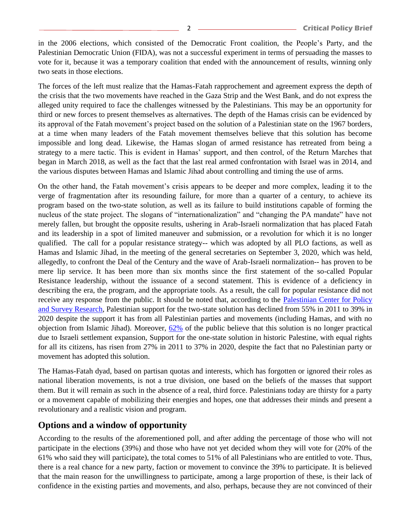in the 2006 elections, which consisted of the Democratic Front coalition, the People's Party, and the Palestinian Democratic Union (FIDA), was not a successful experiment in terms of persuading the masses to vote for it, because it was a temporary coalition that ended with the announcement of results, winning only two seats in those elections.

The forces of the left must realize that the Hamas-Fatah rapprochement and agreement express the depth of the crisis that the two movements have reached in the Gaza Strip and the West Bank, and do not express the alleged unity required to face the challenges witnessed by the Palestinians. This may be an opportunity for third or new forces to present themselves as alternatives. The depth of the Hamas crisis can be evidenced by its approval of the Fatah movement's project based on the solution of a Palestinian state on the 1967 borders, at a time when many leaders of the Fatah movement themselves believe that this solution has become impossible and long dead. Likewise, the Hamas slogan of armed resistance has retreated from being a strategy to a mere tactic. This is evident in Hamas' support, and then control, of the Return Marches that began in March 2018, as well as the fact that the last real armed confrontation with Israel was in 2014, and the various disputes between Hamas and Islamic Jihad about controlling and timing the use of arms.

On the other hand, the Fatah movement's crisis appears to be deeper and more complex, leading it to the verge of fragmentation after its resounding failure, for more than a quarter of a century, to achieve its program based on the two-state solution, as well as its failure to build institutions capable of forming the nucleus of the state project. The slogans of "internationalization" and "changing the PA mandate" have not merely fallen, but brought the opposite results, ushering in Arab-Israeli normalization that has placed Fatah and its leadership in a spot of limited maneuver and submission, or a revolution for which it is no longer qualified. The call for a popular resistance strategy-- which was adopted by all PLO factions, as well as Hamas and Islamic Jihad, in the meeting of the general secretaries on September 3, 2020, which was held, allegedly, to confront the Deal of the Century and the wave of Arab-Israeli normalization-- has proven to be mere lip service. It has been more than six months since the first statement of the so-called Popular Resistance leadership, without the issuance of a second statement. This is evidence of a deficiency in describing the era, the program, and the appropriate tools. As a result, the call for popular resistance did not receive any response from the public. It should be noted that, according to the Palestinian Center for Policy [and Survey Research,](http://www.pcpsr.org/en/node/154) Palestinian support for the two-state solution has declined from 55% in 2011 to 39% in 2020 despite the support it has from all Palestinian parties and movements (including Hamas, and with no objection from Islamic Jihad). Moreover,  $62\%$  of the public believe that this solution is no longer practical due to Israeli settlement expansion, Support for the one-state solution in historic Palestine, with equal rights for all its citizens, has risen from 27% in 2011 to 37% in 2020, despite the fact that no Palestinian party or movement has adopted this solution.

The Hamas-Fatah dyad, based on partisan quotas and interests, which has forgotten or ignored their roles as national liberation movements, is not a true division, one based on the beliefs of the masses that support them. But it will remain as such in the absence of a real, third force. Palestinians today are thirsty for a party or a movement capable of mobilizing their energies and hopes, one that addresses their minds and present a revolutionary and a realistic vision and program.

# **Options and a window of opportunity**

According to the results of the aforementioned poll, and after adding the percentage of those who will not participate in the elections (39%) and those who have not yet decided whom they will vote for (20% of the 61% who said they will participate), the total comes to 51% of all Palestinians who are entitled to vote. Thus, there is a real chance for a new party, faction or movement to convince the 39% to participate. It is believed that the main reason for the unwillingness to participate, among a large proportion of these, is their lack of confidence in the existing parties and movements, and also, perhaps, because they are not convinced of their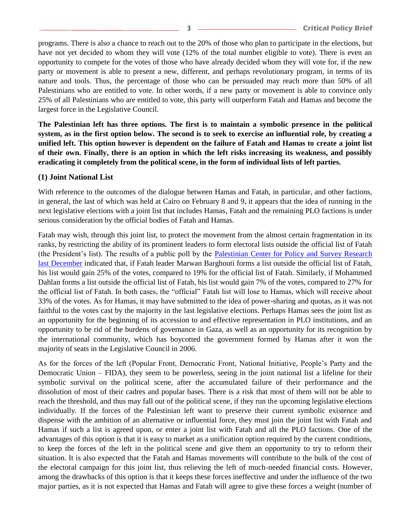programs. There is also a chance to reach out to the 20% of those who plan to participate in the elections, but have not yet decided to whom they will vote (12% of the total number eligible to vote). There is even an opportunity to compete for the votes of those who have already decided whom they will vote for, if the new party or movement is able to present a new, different, and perhaps revolutionary program, in terms of its nature and tools. Thus, the percentage of those who can be persuaded may reach more than 50% of all Palestinians who are entitled to vote. In other words, if a new party or movement is able to convince only 25% of all Palestinians who are entitled to vote, this party will outperform Fatah and Hamas and become the largest force in the Legislative Council.

**The Palestinian left has three options. The first is to maintain a symbolic presence in the political system, as in the first option below. The second is to seek to exercise an influential role, by creating a unified left. This option however is dependent on the failure of Fatah and Hamas to create a joint list of their own. Finally, there is an option in which the left risks increasing its weakness, and possibly eradicating it completely from the political scene, in the form of individual lists of left parties.**

#### **(1) Joint National List**

With reference to the outcomes of the dialogue between Hamas and Fatah, in particular, and other factions, in general, the last of which was held at Cairo on February 8 and 9, it appears that the idea of running in the next legislative elections with a joint list that includes Hamas, Fatah and the remaining PLO factions is under serious consideration by the official bodies of Fatah and Hamas.

Fatah may wish, through this joint list, to protect the movement from the almost certain fragmentation in its ranks, by restricting the ability of its prominent leaders to form electoral lists outside the official list of Fatah (the President's list). The results of a public poll by the [Palestinian Center for Policy and Survey Research](http://www.pcpsr.org/en/node/829)  [last December](http://www.pcpsr.org/en/node/829) indicated that, if Fatah leader Marwan Barghouti forms a list outside the official list of Fatah, his list would gain 25% of the votes, compared to 19% for the official list of Fatah. Similarly, if Mohammed Dahlan forms a list outside the official list of Fatah, his list would gain 7% of the votes, compared to 27% for the official list of Fatah. In both cases, the "official" Fatah list will lose to Hamas, which will receive about 33% of the votes. As for Hamas, it may have submitted to the idea of power-sharing and quotas, as it was not faithful to the votes cast by the majority in the last legislative elections. Perhaps Hamas sees the joint list as an opportunity for the beginning of its accession to and effective representation in PLO institutions, and an opportunity to be rid of the burdens of governance in Gaza, as well as an opportunity for its recognition by the international community, which has boycotted the government formed by Hamas after it won the majority of seats in the Legislative Council in 2006.

As for the forces of the left (Popular Front, Democratic Front, National Initiative, People's Party and the Democratic Union – FIDA), they seem to be powerless, seeing in the joint national list a lifeline for their symbolic survival on the political scene, after the accumulated failure of their performance and the dissolution of most of their cadres and popular bases. There is a risk that most of them will not be able to reach the threshold, and thus may fall out of the political scene, if they run the upcoming legislative elections individually. If the forces of the Palestinian left want to preserve their current symbolic existence and dispense with the ambition of an alternative or influential force, they must join the joint list with Fatah and Hamas if such a list is agreed upon, or enter a joint list with Fatah and all the PLO factions. One of the advantages of this option is that it is easy to market as a unification option required by the current conditions, to keep the forces of the left in the political scene and give them an opportunity to try to reform their situation. It is also expected that the Fatah and Hamas movements will contribute to the bulk of the cost of the electoral campaign for this joint list, thus relieving the left of much-needed financial costs. However, among the drawbacks of this option is that it keeps these forces ineffective and under the influence of the two major parties, as it is not expected that Hamas and Fatah will agree to give these forces a weight (number of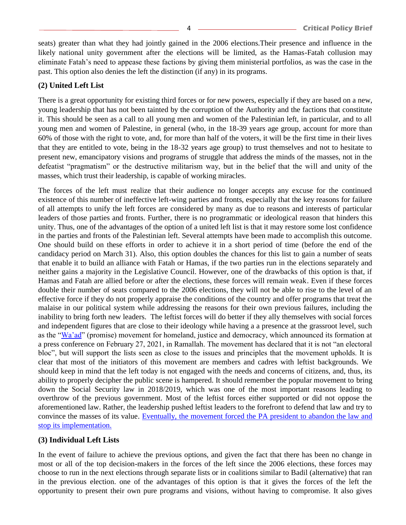seats) greater than what they had jointly gained in the 2006 elections.Their presence and influence in the likely national unity government after the elections will be limited, as the Hamas-Fatah collusion may eliminate Fatah's need to appease these factions by giving them ministerial portfolios, as was the case in the past. This option also denies the left the distinction (if any) in its programs.

#### **(2) United Left List**

There is a great opportunity for existing third forces or for new powers, especially if they are based on a new, young leadership that has not been tainted by the corruption of the Authority and the factions that constitute it. This should be seen as a call to all young men and women of the Palestinian left, in particular, and to all young men and women of Palestine, in general (who, in the 18-39 years age group, account for more than 60% of those with the right to vote, and, for more than half of the voters, it will be the first time in their lives that they are entitled to vote, being in the 18-32 years age group) to trust themselves and not to hesitate to present new, emancipatory visions and programs of struggle that address the minds of the masses, not in the defeatist "pragmatism" or the destructive militarism way, but in the belief that the will and unity of the masses, which trust their leadership, is capable of working miracles.

The forces of the left must realize that their audience no longer accepts any excuse for the continued existence of this number of ineffective left-wing parties and fronts, especially that the key reasons for failure of all attempts to unify the left forces are considered by many as due to reasons and interests of particular leaders of those parties and fronts. Further, there is no programmatic or ideological reason that hinders this unity. Thus, one of the advantages of the option of a united left list is that it may restore some lost confidence in the parties and fronts of the Palestinian left. Several attempts have been made to accomplish this outcome. One should build on these efforts in order to achieve it in a short period of time (before the end of the candidacy period on March 31). Also, this option doubles the chances for this list to gain a number of seats that enable it to build an alliance with Fatah or Hamas, if the two parties run in the elections separately and neither gains a majority in the Legislative Council. However, one of the drawbacks of this option is that, if Hamas and Fatah are allied before or after the elections, these forces will remain weak. Even if these forces double their number of seats compared to the 2006 elections, they will not be able to rise to the level of an effective force if they do not properly appraise the conditions of the country and offer programs that treat the malaise in our political system while addressing the reasons for their own previous failures, including the inability to bring forth new leaders. The leftist forces will do better if they ally themselves with social forces and independent figures that are close to their ideology while having a a presence at the grassroot level, such as the ["Wa'ad"](https://www.wattan.net/ar/video/334075.html) (promise) movement for homeland, justice and democracy, which announced its formation at a press conference on February 27, 2021, in Ramallah. The movement has declared that it is not "an electoral bloc", but will support the lists seen as close to the issues and principles that the movement upholds. It is clear that most of the initiators of this movement are members and cadres with leftist backgrounds. We should keep in mind that the left today is not engaged with the needs and concerns of citizens, and, thus, its ability to properly decipher the public scene is hampered. It should remember the popular movement to bring down the Social Security law in 2018/2019, which was one of the most important reasons leading to overthrow of the previous government. Most of the leftist forces either supported or did not oppose the aforementioned law. Rather, the leadership pushed leftist leaders to the forefront to defend that law and try to convince the masses of its value. [Eventually, the movement forced the PA president to abandon the law and](https://www.middleeasteye.net/news/mahmoud-abbas-suspends-pas-controversial-social-security-law)  [stop its implementation.](https://www.middleeasteye.net/news/mahmoud-abbas-suspends-pas-controversial-social-security-law)

#### **(3) Individual Left Lists**

In the event of failure to achieve the previous options, and given the fact that there has been no change in most or all of the top decision-makers in the forces of the left since the 2006 elections, these forces may choose to run in the next elections through separate lists or in coalitions similar to Badil (alternative) that ran in the previous election. one of the advantages of this option is that it gives the forces of the left the opportunity to present their own pure programs and visions, without having to compromise. It also gives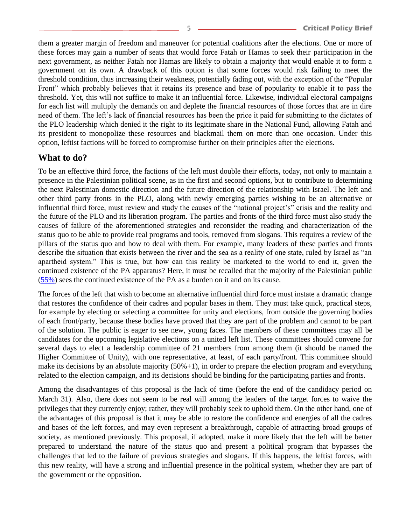them a greater margin of freedom and maneuver for potential coalitions after the elections. One or more of these forces may gain a number of seats that would force Fatah or Hamas to seek their participation in the next government, as neither Fatah nor Hamas are likely to obtain a majority that would enable it to form a government on its own. A drawback of this option is that some forces would risk failing to meet the threshold condition, thus increasing their weakness, potentially fading out, with the exception of the "Popular Front" which probably believes that it retains its presence and base of popularity to enable it to pass the threshold. Yet, this will not suffice to make it an influential force. Likewise, individual electoral campaigns for each list will multiply the demands on and deplete the financial resources of those forces that are in dire need of them. The left's lack of financial resources has been the price it paid for submitting to the dictates of the PLO leadership which denied it the right to its legitimate share in the National Fund, allowing Fatah and its president to monopolize these resources and blackmail them on more than one occasion. Under this option, leftist factions will be forced to compromise further on their principles after the elections.

## **What to do?**

To be an effective third force, the factions of the left must double their efforts, today, not only to maintain a presence in the Palestinian political scene, as in the first and second options, but to contribute to determining the next Palestinian domestic direction and the future direction of the relationship with Israel. The left and other third party fronts in the PLO, along with newly emerging parties wishing to be an alternative or influential third force, must review and study the causes of the "national project's" crisis and the reality and the future of the PLO and its liberation program. The parties and fronts of the third force must also study the causes of failure of the aforementioned strategies and reconsider the reading and characterization of the status quo to be able to provide real programs and tools, removed from slogans. This requires a review of the pillars of the status quo and how to deal with them. For example, many leaders of these parties and fronts describe the situation that exists between the river and the sea as a reality of one state, ruled by Israel as "an apartheid system." This is true, but how can this reality be marketed to the world to end it, given the continued existence of the PA apparatus? Here, it must be recalled that the majority of the Palestinian public [\(55%\)](http://www.pcpsr.org/en/node/829) sees the continued existence of the PA as a burden on it and on its cause.

The forces of the left that wish to become an alternative influential third force must instate a dramatic change that restores the confidence of their cadres and popular bases in them. They must take quick, practical steps, for example by electing or selecting a committee for unity and elections, from outside the governing bodies of each front/party, because these bodies have proved that they are part of the problem and cannot to be part of the solution. The public is eager to see new, young faces. The members of these committees may all be candidates for the upcoming legislative elections on a united left list. These committees should convene for several days to elect a leadership committee of 21 members from among them (it should be named the Higher Committee of Unity), with one representative, at least, of each party/front. This committee should make its decisions by an absolute majority  $(50\% + 1)$ , in order to prepare the election program and everything related to the election campaign, and its decisions should be binding for the participating parties and fronts.

Among the disadvantages of this proposal is the lack of time (before the end of the candidacy period on March 31). Also, there does not seem to be real will among the leaders of the target forces to waive the privileges that they currently enjoy; rather, they will probably seek to uphold them. On the other hand, one of the advantages of this proposal is that it may be able to restore the confidence and energies of all the cadres and bases of the left forces, and may even represent a breakthrough, capable of attracting broad groups of society, as mentioned previously. This proposal, if adopted, make it more likely that the left will be better prepared to understand the nature of the status quo and present a political program that bypasses the challenges that led to the failure of previous strategies and slogans. If this happens, the leftist forces, with this new reality, will have a strong and influential presence in the political system, whether they are part of the government or the opposition.